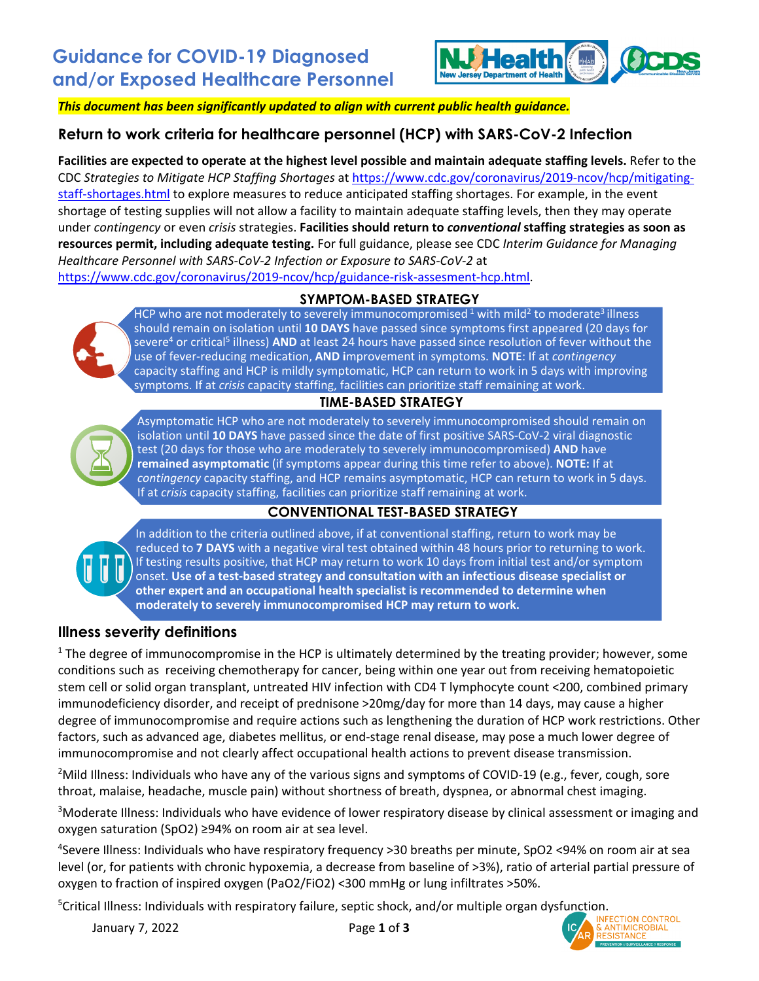

*This document has been significantly updated to align with current public health guidance.*

## **Return to work criteria for healthcare personnel (HCP) with SARS-CoV-2 Infection**

**Facilities are expected to operate at the highest level possible and maintain adequate staffing levels.** Refer to the CDC *Strategies to Mitigate HCP Staffing Shortages* at [https://www.cdc.gov/coronavirus/2019-ncov/hcp/mitigating](https://www.cdc.gov/coronavirus/2019-ncov/hcp/mitigating-staff-shortages.html)[staff-shortages.html](https://www.cdc.gov/coronavirus/2019-ncov/hcp/mitigating-staff-shortages.html) to explore measures to reduce anticipated staffing shortages. For example, in the event shortage of testing supplies will not allow a facility to maintain adequate staffing levels, then they may operate under *contingency* or even *crisis* strategies. **Facilities should return to** *conventional* **staffing strategies as soon as resources permit, including adequate testing.** For full guidance, please see CDC *Interim Guidance for Managing Healthcare Personnel with SARS-CoV-2 Infection or Exposure to SARS-CoV-2* at [https://www.cdc.gov/coronavirus/2019-ncov/hcp/guidance-risk-assesment-hcp.html.](https://www.cdc.gov/coronavirus/2019-ncov/hcp/guidance-risk-assesment-hcp.html)

**SYMPTOM-BASED STRATEGY**



HCP who are not moderately to severely immunocompromised  $1$  with mild<sup>2</sup> to moderate<sup>3</sup> illness should remain on isolation until **10 DAYS** have passed since symptoms first appeared (20 days for severe<sup>4</sup> or critical<sup>5</sup> illness) **AND** at least 24 hours have passed since resolution of fever without the use of fever-reducing medication, **AND i**mprovement in symptoms. **NOTE**: If at *contingency* capacity staffing and HCP is mildly symptomatic, HCP can return to work in 5 days with improving symptoms. If at *crisis* capacity staffing, facilities can prioritize staff remaining at work.

#### **TIME-BASED STRATEGY**



Asymptomatic HCP who are not moderately to severely immunocompromised should remain on isolation until **10 DAYS** have passed since the date of first positive SARS-CoV-2 viral diagnostic test (20 days for those who are moderately to severely immunocompromised) **AND** have **remained asymptomatic** (if symptoms appear during this time refer to above). **NOTE:** If at *contingency* capacity staffing, and HCP remains asymptomatic, HCP can return to work in 5 days. If at *crisis* capacity staffing, facilities can prioritize staff remaining at work.

## **CONVENTIONAL TEST-BASED STRATEGY**



In addition to the criteria outlined above, if at conventional staffing, return to work may be reduced to **7 DAYS** with a negative viral test obtained within 48 hours prior to returning to work. If testing results positive, that HCP may return to work 10 days from initial test and/or symptom onset. **Use of a test-based strategy and consultation with an infectious disease specialist or other expert and an occupational health specialist is recommended to determine when moderately to severely immunocompromised HCP may return to work.** 

#### **Illness severity definitions**

 $1$  The degree of immunocompromise in the HCP is ultimately determined by the treating provider; however, some conditions such as receiving chemotherapy for cancer, being within one year out from receiving hematopoietic stem cell or solid organ transplant, untreated HIV infection with CD4 T lymphocyte count <200, combined primary immunodeficiency disorder, and receipt of prednisone >20mg/day for more than 14 days, may cause a higher degree of immunocompromise and require actions such as lengthening the duration of HCP work restrictions. Other factors, such as advanced age, diabetes mellitus, or end-stage renal disease, may pose a much lower degree of immunocompromise and not clearly affect occupational health actions to prevent disease transmission.

<sup>2</sup>Mild Illness: Individuals who have any of the various signs and symptoms of COVID-19 (e.g., fever, cough, sore throat, malaise, headache, muscle pain) without shortness of breath, dyspnea, or abnormal chest imaging.

<sup>3</sup>Moderate Illness: Individuals who have evidence of lower respiratory disease by clinical assessment or imaging and oxygen saturation (SpO2) ≥94% on room air at sea level.

4 Severe Illness: Individuals who have respiratory frequency >30 breaths per minute, SpO2 <94% on room air at sea level (or, for patients with chronic hypoxemia, a decrease from baseline of >3%), ratio of arterial partial pressure of oxygen to fraction of inspired oxygen (PaO2/FiO2) <300 mmHg or lung infiltrates >50%.

<sup>5</sup>Critical Illness: Individuals with respiratory failure, septic shock, and/or multiple organ dysfunction.

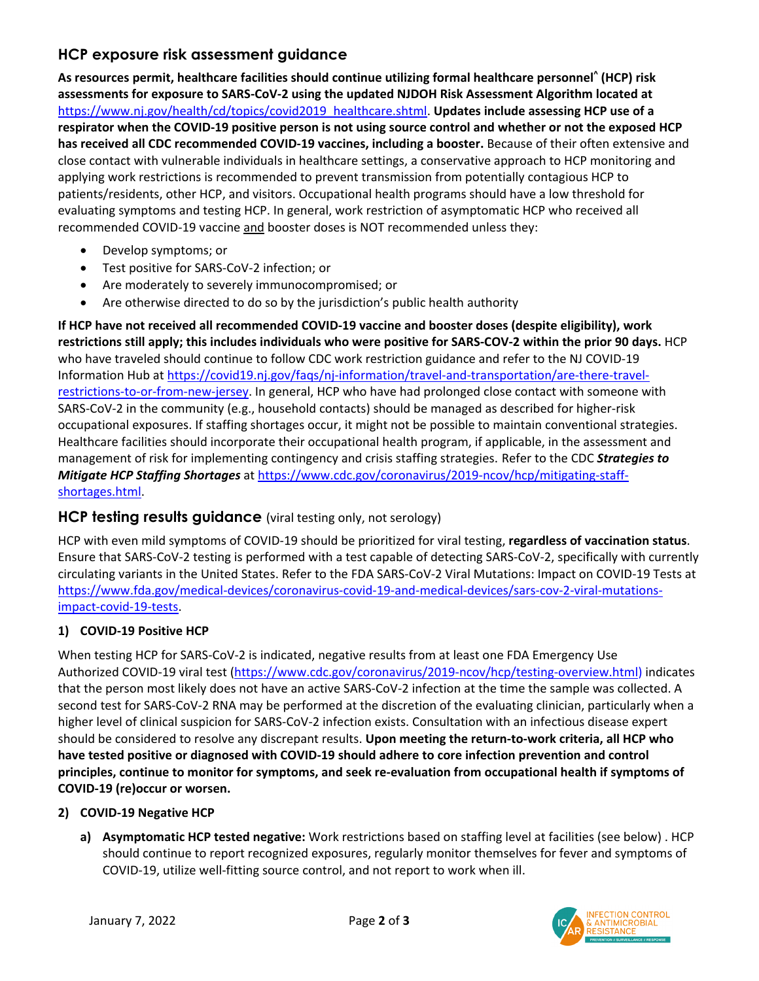## **HCP exposure risk assessment guidance**

**As resources permit, healthcare facilities should continue utilizing formal healthcare personnel^ (HCP) risk assessments for exposure to SARS-CoV-2 using the updated NJDOH Risk Assessment Algorithm located at** [https://www.nj.gov/health/cd/topics/covid2019\\_healthcare.shtml.](https://www.nj.gov/health/cd/topics/covid2019_healthcare.shtml) **Updates include assessing HCP use of a respirator when the COVID-19 positive person is not using source control and whether or not the exposed HCP has received all CDC recommended COVID-19 vaccines, including a booster.** Because of their often extensive and close contact with vulnerable individuals in healthcare settings, a conservative approach to HCP monitoring and applying work restrictions is recommended to prevent transmission from potentially contagious HCP to patients/residents, other HCP, and visitors. Occupational health programs should have a low threshold for evaluating symptoms and testing HCP. In general, work restriction of asymptomatic HCP who received all recommended COVID-19 vaccine and booster doses is NOT recommended unless they:

- Develop symptoms; or
- Test positive for SARS-CoV-2 infection; or
- Are moderately to severely immunocompromised; or
- Are otherwise directed to do so by the jurisdiction's public health authority

**If HCP have not received all recommended COVID-19 vaccine and booster doses (despite eligibility), work restrictions still apply; this includes individuals who were positive for SARS-COV-2 within the prior 90 days.** HCP who have traveled should continue to follow CDC work restriction guidance and refer to the NJ COVID-19 Information Hub at [https://covid19.nj.gov/faqs/nj-information/travel-and-transportation/are-there-travel](https://covid19.nj.gov/faqs/nj-information/travel-and-transportation/are-there-travel-restrictions-to-or-from-new-jersey)[restrictions-to-or-from-new-jersey.](https://covid19.nj.gov/faqs/nj-information/travel-and-transportation/are-there-travel-restrictions-to-or-from-new-jersey) In general, HCP who have had prolonged close contact with someone with SARS-CoV-2 in the community (e.g., household contacts) should be managed as described for higher-risk occupational exposures. If staffing shortages occur, it might not be possible to maintain conventional strategies. Healthcare facilities should incorporate their occupational health program, if applicable, in the assessment and management of risk for implementing contingency and crisis staffing strategies. Refer to the CDC *Strategies to Mitigate HCP Staffing Shortages* at [https://www.cdc.gov/coronavirus/2019-ncov/hcp/mitigating-staff](https://www.cdc.gov/coronavirus/2019-ncov/hcp/mitigating-staff-shortages.html)[shortages.html.](https://www.cdc.gov/coronavirus/2019-ncov/hcp/mitigating-staff-shortages.html)

## **HCP testing results guidance** (viral testing only, not serology)

HCP with even mild symptoms of COVID-19 should be prioritized for viral testing, **regardless of vaccination status**. Ensure that SARS-CoV-2 testing is performed with a test capable of detecting SARS-CoV-2, specifically with currently circulating variants in the United States. Refer to the FDA SARS-CoV-2 Viral Mutations: Impact on COVID-19 Tests at [https://www.fda.gov/medical-devices/coronavirus-covid-19-and-medical-devices/sars-cov-2-viral-mutations](https://www.fda.gov/medical-devices/coronavirus-covid-19-and-medical-devices/sars-cov-2-viral-mutations-impact-covid-19-tests)[impact-covid-19-tests.](https://www.fda.gov/medical-devices/coronavirus-covid-19-and-medical-devices/sars-cov-2-viral-mutations-impact-covid-19-tests)

#### **1) COVID-19 Positive HCP**

When testing HCP for SARS-CoV-2 is indicated, negative results from at least one FDA Emergency Use Authorized COVID-19 viral test [\(https://www.cdc.gov/coronavirus/2019-ncov/hcp/testing-overview.html\)](https://www.cdc.gov/coronavirus/2019-ncov/hcp/testing-overview.html) indicates that the person most likely does not have an active SARS-CoV-2 infection at the time the sample was collected. A second test for SARS-CoV-2 RNA may be performed at the discretion of the evaluating clinician, particularly when a higher level of clinical suspicion for SARS-CoV-2 infection exists. Consultation with an infectious disease expert should be considered to resolve any discrepant results. **Upon meeting the return-to-work criteria, all HCP who have tested positive or diagnosed with COVID-19 should adhere to core infection prevention and control principles, continue to monitor for symptoms, and seek re-evaluation from occupational health if symptoms of COVID-19 (re)occur or worsen.**

#### **2) COVID-19 Negative HCP**

**a) Asymptomatic HCP tested negative:** Work restrictions based on staffing level at facilities (see below) . HCP should continue to report recognized exposures, regularly monitor themselves for fever and symptoms of COVID-19, utilize well-fitting source control, and not report to work when ill.

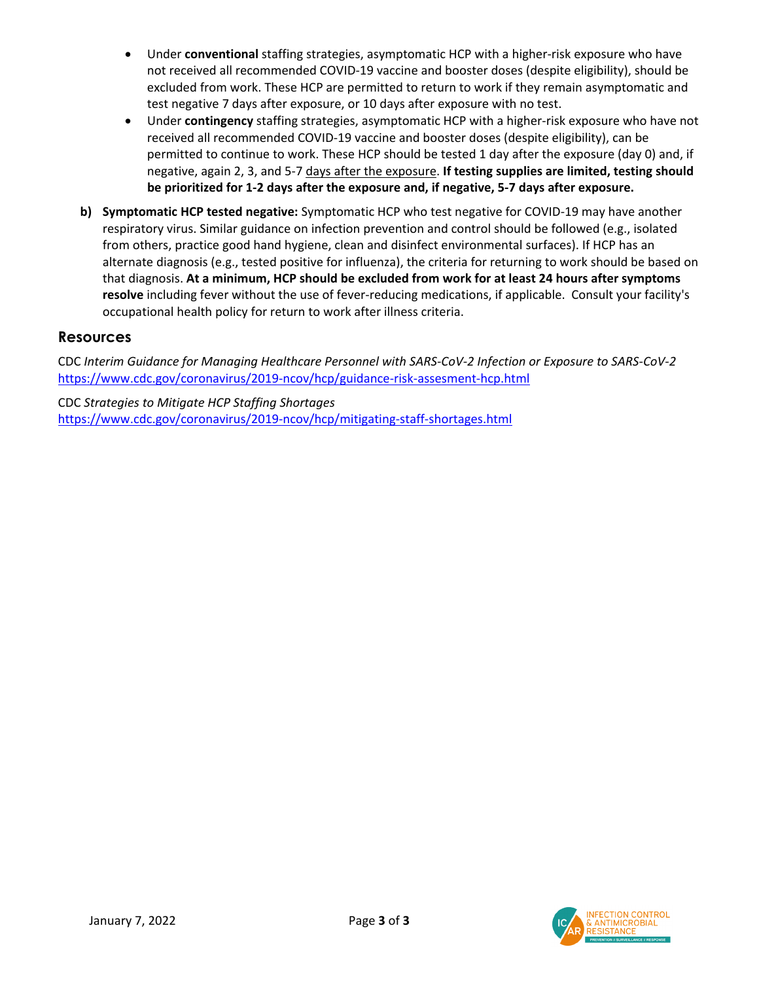- Under **conventional** staffing strategies, asymptomatic HCP with a higher-risk exposure who have not received all recommended COVID-19 vaccine and booster doses (despite eligibility), should be excluded from work. These HCP are permitted to return to work if they remain asymptomatic and test negative 7 days after exposure, or 10 days after exposure with no test.
- Under **contingency** staffing strategies, asymptomatic HCP with a higher-risk exposure who have not received all recommended COVID-19 vaccine and booster doses (despite eligibility), can be permitted to continue to work. These HCP should be tested 1 day after the exposure (day 0) and, if negative, again 2, 3, and 5-7 days after the exposure. **If testing supplies are limited, testing should be prioritized for 1-2 days after the exposure and, if negative, 5-7 days after exposure.**
- **b) Symptomatic HCP tested negative:** Symptomatic HCP who test negative for COVID-19 may have another respiratory virus. Similar guidance on infection prevention and control should be followed (e.g., isolated from others, practice good hand hygiene, clean and disinfect environmental surfaces). If HCP has an alternate diagnosis (e.g., tested positive for influenza), the criteria for returning to work should be based on that diagnosis. **At a minimum, HCP should be excluded from work for at least 24 hours after symptoms resolve** including fever without the use of fever-reducing medications, if applicable. Consult your facility's occupational health policy for return to work after illness criteria.

## **Resources**

CDC *Interim Guidance for Managing Healthcare Personnel with SARS-CoV-2 Infection or Exposure to SARS-CoV-2* <https://www.cdc.gov/coronavirus/2019-ncov/hcp/guidance-risk-assesment-hcp.html>

CDC *Strategies to Mitigate HCP Staffing Shortages* <https://www.cdc.gov/coronavirus/2019-ncov/hcp/mitigating-staff-shortages.html>

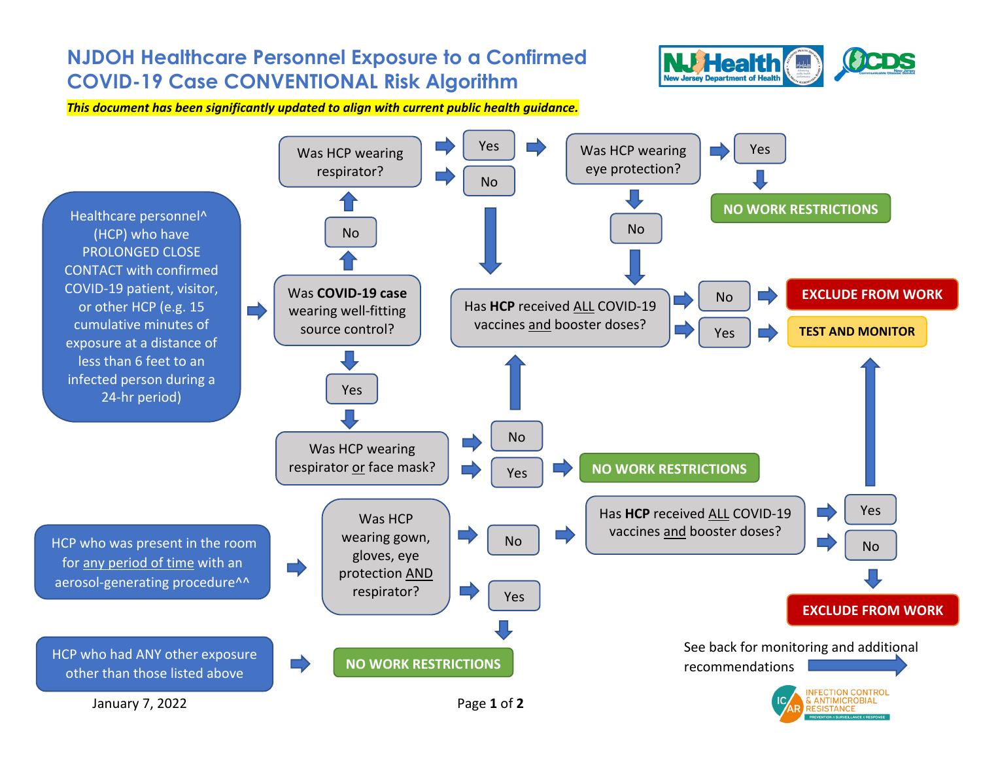# **NJDOH Healthcare Personnel Exposure to a Confirmed COVID-19 Case CONVENTIONAL Risk Algorithm**



*This document has been significantly updated to align with current public health guidance.*